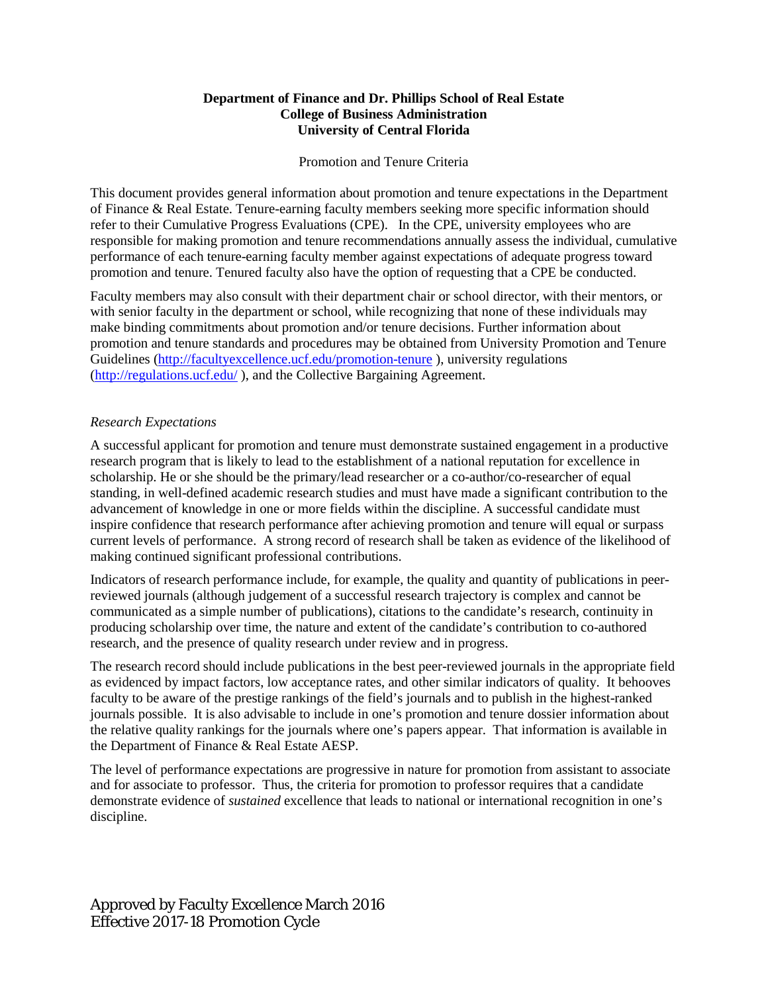# **Department of Finance and Dr. Phillips School of Real Estate College of Business Administration University of Central Florida**

# Promotion and Tenure Criteria

This document provides general information about promotion and tenure expectations in the Department of Finance & Real Estate. Tenure-earning faculty members seeking more specific information should refer to their Cumulative Progress Evaluations (CPE). In the CPE, university employees who are responsible for making promotion and tenure recommendations annually assess the individual, cumulative performance of each tenure-earning faculty member against expectations of adequate progress toward promotion and tenure. Tenured faculty also have the option of requesting that a CPE be conducted.

Faculty members may also consult with their department chair or school director, with their mentors, or with senior faculty in the department or school, while recognizing that none of these individuals may make binding commitments about promotion and/or tenure decisions. Further information about promotion and tenure standards and procedures may be obtained from University Promotion and Tenure Guidelines [\(http://facultyexcellence.ucf.edu/promotion-tenure](http://facultyexcellence.ucf.edu/promotion-tenure) ), university regulations [\(http://regulations.ucf.edu/](http://regulations.ucf.edu/) ), and the Collective Bargaining Agreement.

#### *Research Expectations*

A successful applicant for promotion and tenure must demonstrate sustained engagement in a productive research program that is likely to lead to the establishment of a national reputation for excellence in scholarship. He or she should be the primary/lead researcher or a co-author/co-researcher of equal standing, in well-defined academic research studies and must have made a significant contribution to the advancement of knowledge in one or more fields within the discipline. A successful candidate must inspire confidence that research performance after achieving promotion and tenure will equal or surpass current levels of performance. A strong record of research shall be taken as evidence of the likelihood of making continued significant professional contributions.

Indicators of research performance include, for example, the quality and quantity of publications in peerreviewed journals (although judgement of a successful research trajectory is complex and cannot be communicated as a simple number of publications), citations to the candidate's research, continuity in producing scholarship over time, the nature and extent of the candidate's contribution to co-authored research, and the presence of quality research under review and in progress.

The research record should include publications in the best peer-reviewed journals in the appropriate field as evidenced by impact factors, low acceptance rates, and other similar indicators of quality. It behooves faculty to be aware of the prestige rankings of the field's journals and to publish in the highest-ranked journals possible. It is also advisable to include in one's promotion and tenure dossier information about the relative quality rankings for the journals where one's papers appear. That information is available in the Department of Finance & Real Estate AESP.

The level of performance expectations are progressive in nature for promotion from assistant to associate and for associate to professor. Thus, the criteria for promotion to professor requires that a candidate demonstrate evidence of *sustained* excellence that leads to national or international recognition in one's discipline.

Approved by Faculty Excellence March 2016 Effective 2017-18 Promotion Cycle